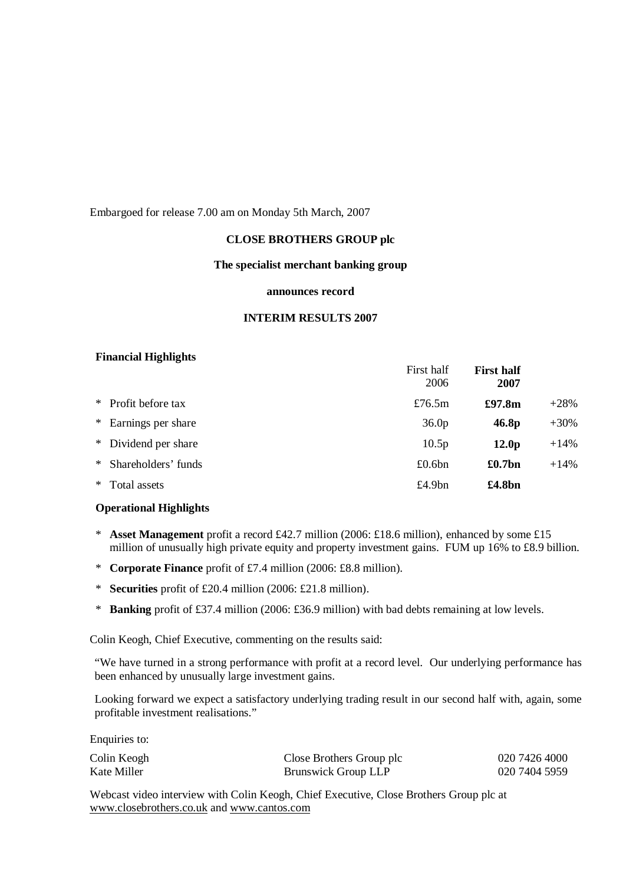Embargoed for release 7.00 am on Monday 5th March, 2007

# **CLOSE BROTHERS GROUP plc**

### **The specialist merchant banking group**

### **announces record**

# **INTERIM RESULTS 2007**

### **Financial Highlights**

|                       | First half<br>2006 | <b>First half</b><br>2007 |         |
|-----------------------|--------------------|---------------------------|---------|
| * Profit before tax   | £76.5 $m$          | £97.8m                    | $+28%$  |
| * Earnings per share  | 36.0 <sub>p</sub>  | 46.8p                     | $+30%$  |
| * Dividend per share  | 10.5p              | 12.0 <sub>p</sub>         | $+14%$  |
| * Shareholders' funds | £0.6bn             | £0.7bn                    | $+14\%$ |
| * Total assets        | £4.9 $bn$          | £4.8bn                    |         |

### **Operational Highlights**

- \* **Asset Management** profit a record £42.7 million (2006: £18.6 million), enhanced by some £15 million of unusually high private equity and property investment gains. FUM up 16% to £8.9 billion.
- \* **Corporate Finance** profit of £7.4 million (2006: £8.8 million).
- \* **Securities** profit of £20.4 million (2006: £21.8 million).
- \* **Banking** profit of £37.4 million (2006: £36.9 million) with bad debts remaining at low levels.

Colin Keogh, Chief Executive, commenting on the results said:

"We have turned in a strong performance with profit at a record level. Our underlying performance has been enhanced by unusually large investment gains.

Looking forward we expect a satisfactory underlying trading result in our second half with, again, some profitable investment realisations."

Enquiries to:

| Colin Keogh | Close Brothers Group plc   | 020 7426 4000 |
|-------------|----------------------------|---------------|
| Kate Miller | <b>Brunswick Group LLP</b> | 020 7404 5959 |

Webcast video interview with Colin Keogh, Chief Executive, Close Brothers Group plc at [www.closebrothers.co.uk](http://www.closebrothers.co.uk) and [www.cantos.com](http://www.cantos.com)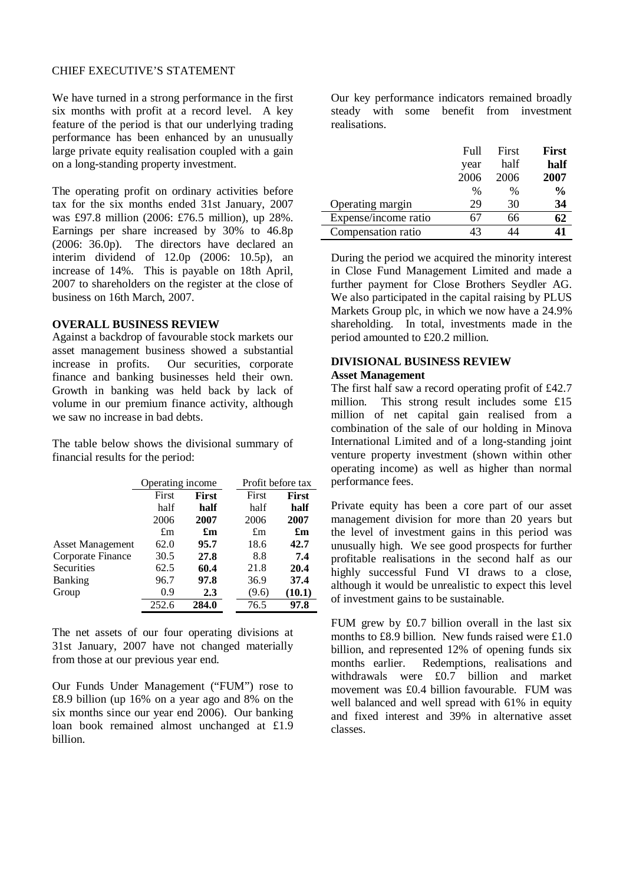### CHIEF EXECUTIVE'S STATEMENT

We have turned in a strong performance in the first six months with profit at a record level. A key feature of the period is that our underlying trading performance has been enhanced by an unusually large private equity realisation coupled with a gain on a long-standing property investment.

The operating profit on ordinary activities before tax for the six months ended 31st January, 2007 was £97.8 million (2006: £76.5 million), up 28%. Earnings per share increased by 30% to 46.8p (2006: 36.0p). The directors have declared an interim dividend of 12.0p (2006: 10.5p), an increase of 14%. This is payable on 18th April, 2007 to shareholders on the register at the close of business on 16th March, 2007.

# **OVERALL BUSINESS REVIEW**

Against a backdrop of favourable stock markets our asset management business showed a substantial increase in profits. Our securities, corporate finance and banking businesses held their own. Growth in banking was held back by lack of volume in our premium finance activity, although we saw no increase in bad debts.

The table below shows the divisional summary of financial results for the period:

|                         | Operating income |                           |       | Profit before tax |
|-------------------------|------------------|---------------------------|-------|-------------------|
|                         | First            | <b>First</b>              | First | <b>First</b>      |
|                         | half             | half                      | half  | half              |
|                         | 2006             | 2007                      | 2006  | 2007              |
|                         | £m               | $\mathbf{f}_{\mathbf{m}}$ | £m    | £m                |
| <b>Asset Management</b> | 62.0             | 95.7                      | 18.6  | 42.7              |
| Corporate Finance       | 30.5             | 27.8                      | 8.8   | 7.4               |
| Securities              | 62.5             | 60.4                      | 21.8  | 20.4              |
| Banking                 | 96.7             | 97.8                      | 36.9  | 37.4              |
| Group                   | 0.9              | 2.3                       | (9.6) | (10.1)            |
|                         | 252.6            | 284.0                     | 76.5  | 97.8              |

The net assets of our four operating divisions at 31st January, 2007 have not changed materially from those at our previous year end.

Our Funds Under Management ("FUM") rose to £8.9 billion (up 16% on a year ago and 8% on the six months since our year end 2006). Our banking loan book remained almost unchanged at £1.9 billion.

Our key performance indicators remained broadly steady with some benefit from investment realisations.

|                      | <b>Full</b> | First         | First         |
|----------------------|-------------|---------------|---------------|
|                      | year        | half          | half          |
|                      | 2006        | 2006          | 2007          |
|                      | $\%$        | $\frac{0}{0}$ | $\frac{6}{9}$ |
| Operating margin     | 29          | 30            | 34            |
| Expense/income ratio |             | 66            | 62            |
| Compensation ratio   | 43          |               |               |

During the period we acquired the minority interest in Close Fund Management Limited and made a further payment for Close Brothers Seydler AG. We also participated in the capital raising by PLUS Markets Group plc, in which we now have a 24.9% shareholding. In total, investments made in the period amounted to £20.2 million.

### **DIVISIONAL BUSINESS REVIEW Asset Management**

The first half saw a record operating profit of £42.7 million. This strong result includes some £15 million of net capital gain realised from a combination of the sale of our holding in Minova International Limited and of a long-standing joint venture property investment (shown within other operating income) as well as higher than normal performance fees.

Private equity has been a core part of our asset management division for more than 20 years but the level of investment gains in this period was unusually high. We see good prospects for further profitable realisations in the second half as our highly successful Fund VI draws to a close, although it would be unrealistic to expect this level of investment gains to be sustainable.

FUM grew by £0.7 billion overall in the last six months to £8.9 billion. New funds raised were £1.0 billion, and represented 12% of opening funds six months earlier. Redemptions, realisations and withdrawals were £0.7 billion and market movement was £0.4 billion favourable. FUM was well balanced and well spread with 61% in equity and fixed interest and 39% in alternative asset classes.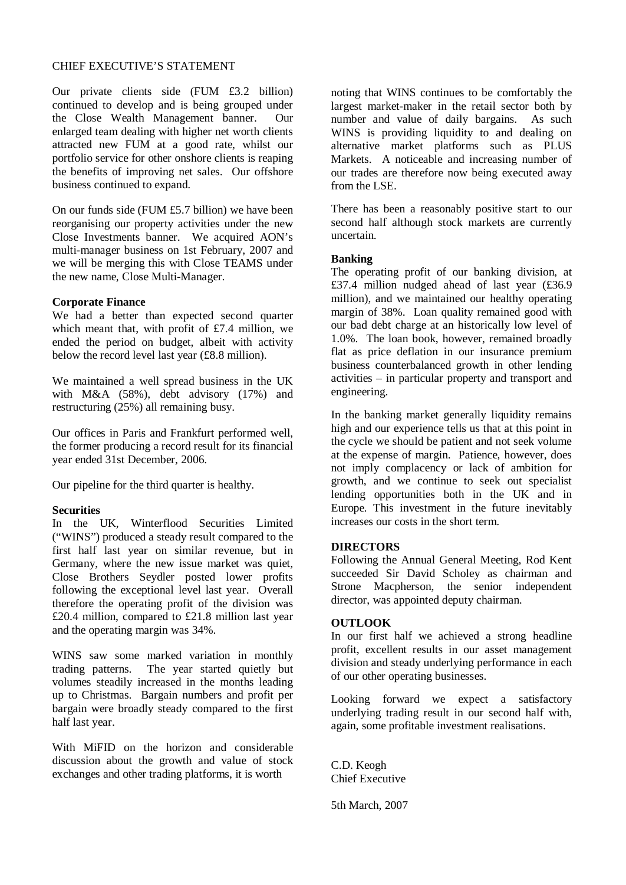# CHIEF EXECUTIVE'S STATEMENT

Our private clients side (FUM £3.2 billion) continued to develop and is being grouped under the Close Wealth Management banner. Our enlarged team dealing with higher net worth clients attracted new FUM at a good rate, whilst our portfolio service for other onshore clients is reaping the benefits of improving net sales. Our offshore business continued to expand.

On our funds side (FUM £5.7 billion) we have been reorganising our property activities under the new Close Investments banner. We acquired AON's multi-manager business on 1st February, 2007 and we will be merging this with Close TEAMS under the new name, Close Multi-Manager.

### **Corporate Finance**

We had a better than expected second quarter which meant that, with profit of £7.4 million, we ended the period on budget, albeit with activity below the record level last year (£8.8 million).

We maintained a well spread business in the UK with M&A (58%), debt advisory (17%) and restructuring (25%) all remaining busy.

Our offices in Paris and Frankfurt performed well, the former producing a record result for its financial year ended 31st December, 2006.

Our pipeline for the third quarter is healthy.

### **Securities**

In the UK, Winterflood Securities Limited ("WINS") produced a steady result compared to the first half last year on similar revenue, but in Germany, where the new issue market was quiet, Close Brothers Seydler posted lower profits following the exceptional level last year. Overall therefore the operating profit of the division was £20.4 million, compared to £21.8 million last year and the operating margin was 34%.

WINS saw some marked variation in monthly trading patterns. The year started quietly but volumes steadily increased in the months leading up to Christmas. Bargain numbers and profit per bargain were broadly steady compared to the first half last year.

With MiFID on the horizon and considerable discussion about the growth and value of stock exchanges and other trading platforms, it is worth

noting that WINS continues to be comfortably the largest market-maker in the retail sector both by number and value of daily bargains. As such WINS is providing liquidity to and dealing on alternative market platforms such as PLUS Markets. A noticeable and increasing number of our trades are therefore now being executed away from the LSE.

There has been a reasonably positive start to our second half although stock markets are currently uncertain.

### **Banking**

The operating profit of our banking division, at £37.4 million nudged ahead of last year (£36.9 million), and we maintained our healthy operating margin of 38%. Loan quality remained good with our bad debt charge at an historically low level of 1.0%. The loan book, however, remained broadly flat as price deflation in our insurance premium business counterbalanced growth in other lending activities – in particular property and transport and engineering.

In the banking market generally liquidity remains high and our experience tells us that at this point in the cycle we should be patient and not seek volume at the expense of margin. Patience, however, does not imply complacency or lack of ambition for growth, and we continue to seek out specialist lending opportunities both in the UK and in Europe. This investment in the future inevitably increases our costs in the short term.

# **DIRECTORS**

Following the Annual General Meeting, Rod Kent succeeded Sir David Scholey as chairman and Strone Macpherson, the senior independent director, was appointed deputy chairman.

### **OUTLOOK**

In our first half we achieved a strong headline profit, excellent results in our asset management division and steady underlying performance in each of our other operating businesses.

Looking forward we expect a satisfactory underlying trading result in our second half with, again, some profitable investment realisations.

C.D. Keogh Chief Executive

5th March, 2007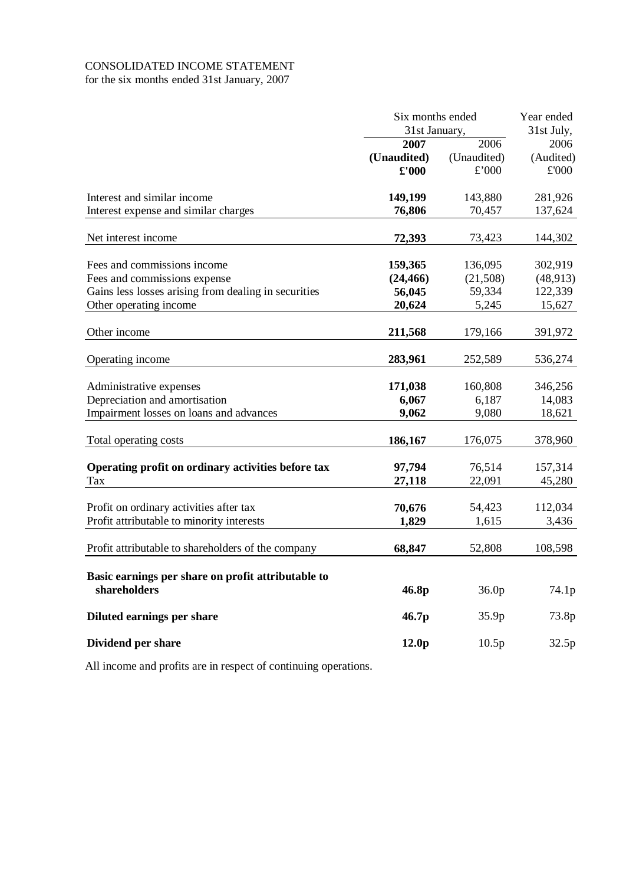# CONSOLIDATED INCOME STATEMENT

for the six months ended 31st January, 2007

|                                                                                | Six months ended<br>31st January, |                   | Year ended<br>31st July, |  |
|--------------------------------------------------------------------------------|-----------------------------------|-------------------|--------------------------|--|
|                                                                                | 2007                              | 2006              | 2006                     |  |
|                                                                                | (Unaudited)                       | (Unaudited)       | (Audited)                |  |
|                                                                                | $\pounds$ '000                    | £'000             | £'000                    |  |
| Interest and similar income                                                    | 149,199                           | 143,880           | 281,926                  |  |
| Interest expense and similar charges                                           | 76,806                            | 70,457            | 137,624                  |  |
| Net interest income                                                            | 72,393                            | 73,423            | 144,302                  |  |
|                                                                                |                                   |                   |                          |  |
| Fees and commissions income                                                    | 159,365                           | 136,095           | 302,919                  |  |
| Fees and commissions expense                                                   | (24, 466)                         | (21,508)          | (48, 913)                |  |
| Gains less losses arising from dealing in securities<br>Other operating income | 56,045<br>20,624                  | 59,334<br>5,245   | 122,339<br>15,627        |  |
|                                                                                |                                   |                   |                          |  |
| Other income                                                                   | 211,568                           | 179,166           | 391,972                  |  |
| Operating income                                                               | 283,961                           | 252,589           | 536,274                  |  |
| Administrative expenses                                                        | 171,038                           | 160,808           | 346,256                  |  |
| Depreciation and amortisation                                                  | 6,067                             | 6,187             | 14,083                   |  |
| Impairment losses on loans and advances                                        | 9,062                             | 9,080             | 18,621                   |  |
| Total operating costs                                                          | 186,167                           | 176,075           | 378,960                  |  |
|                                                                                |                                   |                   |                          |  |
| Operating profit on ordinary activities before tax                             | 97,794                            | 76,514            | 157,314                  |  |
| Tax                                                                            | 27,118                            | 22,091            | 45,280                   |  |
| Profit on ordinary activities after tax                                        | 70,676                            | 54,423            | 112,034                  |  |
| Profit attributable to minority interests                                      | 1,829                             | 1,615             | 3,436                    |  |
| Profit attributable to shareholders of the company                             | 68,847                            | 52,808            | 108,598                  |  |
|                                                                                |                                   |                   |                          |  |
| Basic earnings per share on profit attributable to<br>shareholders             | 46.8p                             | 36.0 <sub>p</sub> | 74.1p                    |  |
| Diluted earnings per share                                                     | 46.7p                             | 35.9p             | 73.8p                    |  |
| Dividend per share                                                             | 12.0 <sub>p</sub>                 | 10.5p             | 32.5p                    |  |
|                                                                                |                                   |                   |                          |  |

All income and profits are in respect of continuing operations.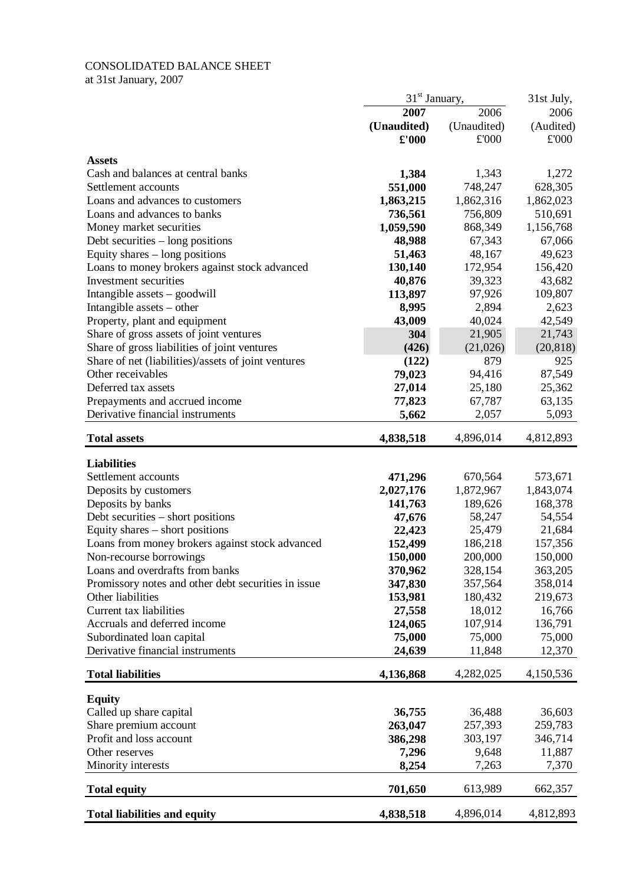# CONSOLIDATED BALANCE SHEET

at 31st January, 2007

|                                                     | $31st$ January, |             | 31st July, |
|-----------------------------------------------------|-----------------|-------------|------------|
|                                                     | 2007            | 2006        | 2006       |
|                                                     | (Unaudited)     | (Unaudited) | (Audited)  |
|                                                     | £'000           | £'000       | £'000      |
| <b>Assets</b>                                       |                 |             |            |
| Cash and balances at central banks                  | 1,384           | 1,343       | 1,272      |
| Settlement accounts                                 | 551,000         | 748,247     | 628,305    |
| Loans and advances to customers                     | 1,863,215       | 1,862,316   | 1,862,023  |
| Loans and advances to banks                         | 736,561         | 756,809     | 510,691    |
| Money market securities                             | 1,059,590       | 868,349     | 1,156,768  |
| Debt securities – long positions                    | 48,988          | 67,343      | 67,066     |
| Equity shares – long positions                      | 51,463          | 48,167      | 49,623     |
| Loans to money brokers against stock advanced       | 130,140         | 172,954     | 156,420    |
| Investment securities                               | 40,876          | 39,323      | 43,682     |
| Intangible assets $-$ goodwill                      | 113,897         | 97,926      | 109,807    |
| Intangible assets – other                           | 8,995           | 2,894       | 2,623      |
| Property, plant and equipment                       | 43,009          | 40,024      | 42,549     |
| Share of gross assets of joint ventures             | 304             | 21,905      | 21,743     |
| Share of gross liabilities of joint ventures        | (426)           | (21,026)    | (20, 818)  |
| Share of net (liabilities)/assets of joint ventures | (122)           | 879         | 925        |
| Other receivables                                   | 79,023          | 94,416      | 87,549     |
| Deferred tax assets                                 | 27,014          | 25,180      |            |
|                                                     |                 |             | 25,362     |
| Prepayments and accrued income                      | 77,823          | 67,787      | 63,135     |
| Derivative financial instruments                    | 5,662           | 2,057       | 5,093      |
| <b>Total assets</b>                                 | 4,838,518       | 4,896,014   | 4,812,893  |
| <b>Liabilities</b>                                  |                 |             |            |
| Settlement accounts                                 | 471,296         | 670,564     | 573,671    |
| Deposits by customers                               | 2,027,176       | 1,872,967   | 1,843,074  |
| Deposits by banks                                   | 141,763         | 189,626     | 168,378    |
| Debt securities - short positions                   | 47,676          | 58,247      | 54,554     |
| Equity shares – short positions                     | 22,423          | 25,479      | 21,684     |
| Loans from money brokers against stock advanced     | 152,499         | 186,218     | 157,356    |
| Non-recourse borrowings                             | 150,000         | 200,000     | 150,000    |
| Loans and overdrafts from banks                     | 370,962         | 328,154     | 363,205    |
| Promissory notes and other debt securities in issue | 347,830         | 357,564     | 358,014    |
| Other liabilities                                   | 153,981         | 180,432     | 219,673    |
| Current tax liabilities                             | 27,558          | 18,012      | 16,766     |
| Accruals and deferred income                        | 124,065         | 107,914     | 136,791    |
| Subordinated loan capital                           | 75,000          | 75,000      | 75,000     |
| Derivative financial instruments                    | 24,639          | 11,848      | 12,370     |
|                                                     |                 |             |            |
| <b>Total liabilities</b>                            | 4,136,868       | 4,282,025   | 4,150,536  |
| <b>Equity</b>                                       |                 |             |            |
| Called up share capital                             | 36,755          | 36,488      | 36,603     |
| Share premium account                               | 263,047         | 257,393     | 259,783    |
| Profit and loss account                             | 386,298         | 303,197     | 346,714    |
| Other reserves                                      | 7,296           | 9,648       | 11,887     |
| Minority interests                                  | 8,254           | 7,263       | 7,370      |
| <b>Total equity</b>                                 | 701,650         | 613,989     | 662,357    |
|                                                     |                 |             |            |
| <b>Total liabilities and equity</b>                 | 4,838,518       | 4,896,014   | 4,812,893  |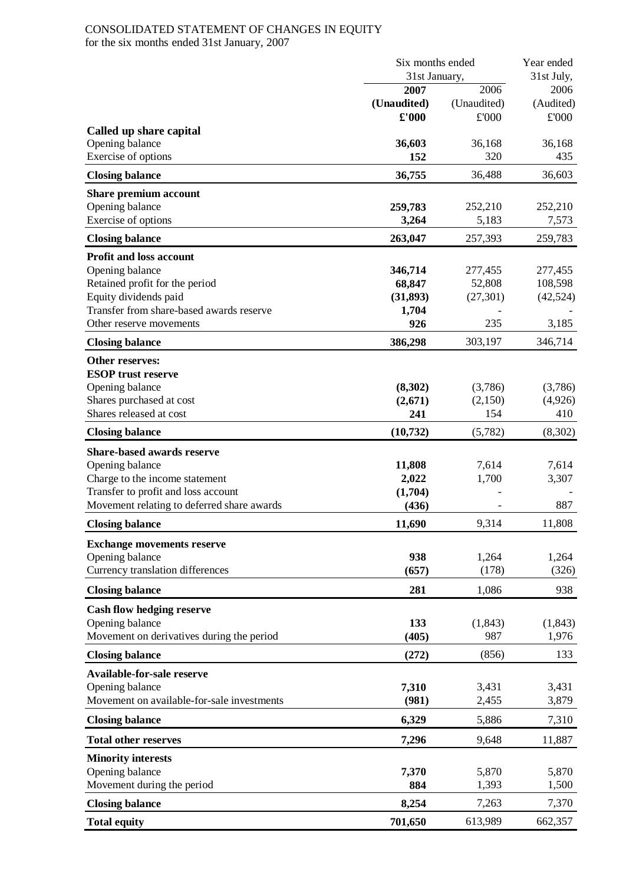### CONSOLIDATED STATEMENT OF CHANGES IN EQUITY

for the six months ended 31st January, 2007

|                                                                      | Six months ended<br>31st January, |                     | Year ended         |  |
|----------------------------------------------------------------------|-----------------------------------|---------------------|--------------------|--|
|                                                                      |                                   |                     | 31st July,<br>2006 |  |
|                                                                      | 2007<br>(Unaudited)               | 2006<br>(Unaudited) | (Audited)          |  |
|                                                                      | $\pounds$ '000                    | £'000               | £'000              |  |
| Called up share capital                                              |                                   |                     |                    |  |
| Opening balance                                                      | 36,603                            | 36,168              | 36,168             |  |
| Exercise of options                                                  | 152                               | 320                 | 435                |  |
| <b>Closing balance</b>                                               | 36,755                            | 36,488              | 36,603             |  |
| <b>Share premium account</b>                                         |                                   |                     |                    |  |
| Opening balance                                                      | 259,783                           | 252,210             | 252,210            |  |
| Exercise of options                                                  | 3,264                             | 5,183               | 7,573              |  |
| <b>Closing balance</b>                                               | 263,047                           | 257,393             | 259,783            |  |
| <b>Profit and loss account</b>                                       |                                   |                     |                    |  |
| Opening balance                                                      | 346,714                           | 277,455             | 277,455            |  |
| Retained profit for the period                                       | 68,847                            | 52,808              | 108,598            |  |
| Equity dividends paid<br>Transfer from share-based awards reserve    | (31, 893)<br>1,704                | (27, 301)           | (42, 524)          |  |
| Other reserve movements                                              | 926                               | 235                 | 3,185              |  |
| <b>Closing balance</b>                                               | 386,298                           | 303,197             | 346,714            |  |
| Other reserves:                                                      |                                   |                     |                    |  |
| <b>ESOP</b> trust reserve                                            |                                   |                     |                    |  |
| Opening balance                                                      | (8,302)                           | (3,786)             | (3,786)            |  |
| Shares purchased at cost                                             | (2,671)                           | (2,150)             | (4,926)            |  |
| Shares released at cost                                              | 241                               | 154                 | 410                |  |
| <b>Closing balance</b>                                               | (10, 732)                         | (5,782)             | (8,302)            |  |
| <b>Share-based awards reserve</b>                                    |                                   |                     |                    |  |
| Opening balance                                                      | 11,808                            | 7,614               | 7,614              |  |
| Charge to the income statement                                       | 2,022                             | 1,700               | 3,307              |  |
| Transfer to profit and loss account                                  | (1,704)                           |                     | 887                |  |
| Movement relating to deferred share awards<br><b>Closing balance</b> | (436)<br>11,690                   | 9,314               | 11,808             |  |
|                                                                      |                                   |                     |                    |  |
| <b>Exchange movements reserve</b>                                    |                                   |                     |                    |  |
| Opening balance<br>Currency translation differences                  | 938<br>(657)                      | 1,264<br>(178)      | 1,264<br>(326)     |  |
|                                                                      |                                   |                     |                    |  |
| <b>Closing balance</b>                                               | 281                               | 1,086               | 938                |  |
| <b>Cash flow hedging reserve</b>                                     |                                   |                     |                    |  |
| Opening balance                                                      | 133                               | (1, 843)            | (1, 843)           |  |
| Movement on derivatives during the period                            | (405)                             | 987                 | 1,976              |  |
| <b>Closing balance</b>                                               | (272)                             | (856)               | 133                |  |
| Available-for-sale reserve                                           |                                   |                     |                    |  |
| Opening balance                                                      | 7,310<br>(981)                    | 3,431               | 3,431              |  |
| Movement on available-for-sale investments                           |                                   | 2,455               | 3,879              |  |
| <b>Closing balance</b>                                               | 6,329                             | 5,886               | 7,310              |  |
| <b>Total other reserves</b>                                          | 7,296                             | 9,648               | 11,887             |  |
| <b>Minority interests</b><br>Opening balance                         | 7,370                             | 5,870               | 5,870              |  |
| Movement during the period                                           | 884                               | 1,393               | 1,500              |  |
|                                                                      |                                   |                     |                    |  |
| <b>Closing balance</b>                                               | 8,254                             | 7,263               | 7,370              |  |
| <b>Total equity</b>                                                  | 701,650                           | 613,989             | 662,357            |  |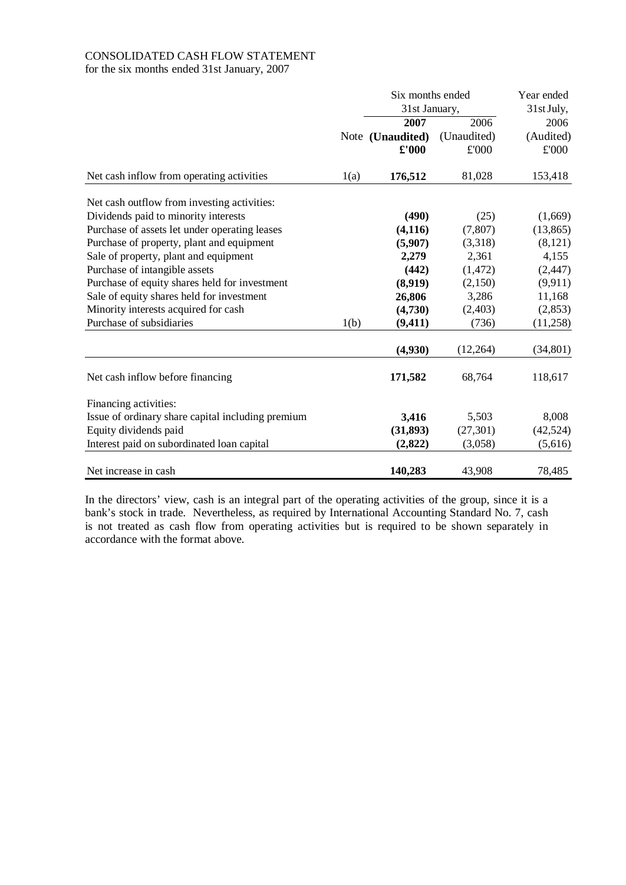# CONSOLIDATED CASH FLOW STATEMENT

for the six months ended 31st January, 2007

|                                                   |      | Six months ended |             | Year ended |  |
|---------------------------------------------------|------|------------------|-------------|------------|--|
|                                                   |      | 31st January,    |             | 31st July, |  |
|                                                   |      | 2007             | 2006        | 2006       |  |
|                                                   |      | Note (Unaudited) | (Unaudited) | (Audited)  |  |
|                                                   |      | £'000            | £'000       | £'000      |  |
| Net cash inflow from operating activities         | 1(a) | 176,512          | 81,028      | 153,418    |  |
| Net cash outflow from investing activities:       |      |                  |             |            |  |
| Dividends paid to minority interests              |      | (490)            | (25)        | (1,669)    |  |
| Purchase of assets let under operating leases     |      | (4, 116)         | (7, 807)    | (13, 865)  |  |
| Purchase of property, plant and equipment         |      | (5,907)          | (3,318)     | (8,121)    |  |
| Sale of property, plant and equipment             |      | 2,279            | 2,361       | 4,155      |  |
| Purchase of intangible assets                     |      | (442)            | (1,472)     | (2, 447)   |  |
| Purchase of equity shares held for investment     |      | (8,919)          | (2,150)     | (9,911)    |  |
| Sale of equity shares held for investment         |      | 26,806           | 3,286       | 11,168     |  |
| Minority interests acquired for cash              |      | (4,730)          | (2,403)     | (2,853)    |  |
| Purchase of subsidiaries                          | 1(b) | (9, 411)         | (736)       | (11,258)   |  |
|                                                   |      | (4,930)          | (12,264)    | (34, 801)  |  |
| Net cash inflow before financing                  |      | 171,582          | 68,764      | 118,617    |  |
| Financing activities:                             |      |                  |             |            |  |
| Issue of ordinary share capital including premium |      | 3,416            | 5,503       | 8,008      |  |
| Equity dividends paid                             |      | (31, 893)        | (27, 301)   | (42, 524)  |  |
| Interest paid on subordinated loan capital        |      | (2,822)          | (3,058)     | (5,616)    |  |
| Net increase in cash                              |      | 140,283          | 43,908      | 78,485     |  |

In the directors' view, cash is an integral part of the operating activities of the group, since it is a bank's stock in trade. Nevertheless, as required by International Accounting Standard No. 7, cash is not treated as cash flow from operating activities but is required to be shown separately in accordance with the format above.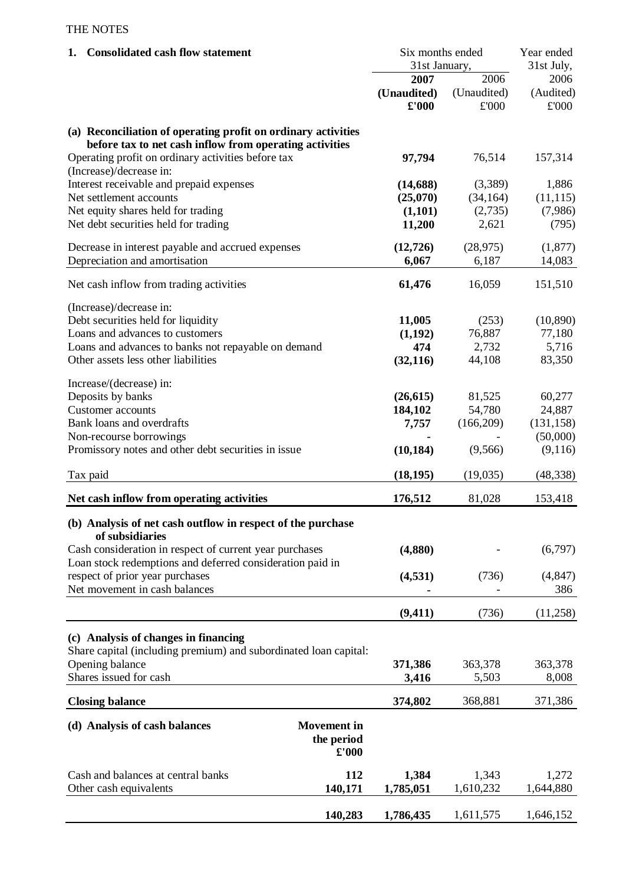# THE NOTES

| <b>Consolidated cash flow statement</b><br>1.                                                                            |                                                   |                                      | Six months ended<br>31st January, |                            |
|--------------------------------------------------------------------------------------------------------------------------|---------------------------------------------------|--------------------------------------|-----------------------------------|----------------------------|
|                                                                                                                          |                                                   | 2007<br>(Unaudited)<br>$\pounds 000$ | 2006<br>(Unaudited)<br>£'000      | 2006<br>(Audited)<br>£'000 |
| (a) Reconciliation of operating profit on ordinary activities<br>before tax to net cash inflow from operating activities |                                                   |                                      |                                   |                            |
| Operating profit on ordinary activities before tax<br>(Increase)/decrease in:                                            |                                                   | 97,794                               | 76,514                            | 157,314                    |
| Interest receivable and prepaid expenses                                                                                 |                                                   | (14, 688)                            | (3,389)                           | 1,886                      |
| Net settlement accounts                                                                                                  |                                                   | (25,070)                             | (34, 164)                         | (11, 115)                  |
| Net equity shares held for trading                                                                                       |                                                   | (1,101)                              | (2,735)                           | (7,986)                    |
| Net debt securities held for trading                                                                                     |                                                   | 11,200                               | 2,621                             | (795)                      |
| Decrease in interest payable and accrued expenses                                                                        |                                                   | (12, 726)                            | (28, 975)                         | (1, 877)                   |
| Depreciation and amortisation                                                                                            |                                                   | 6,067                                | 6,187                             | 14,083                     |
| Net cash inflow from trading activities                                                                                  |                                                   | 61,476                               | 16,059                            | 151,510                    |
| (Increase)/decrease in:                                                                                                  |                                                   |                                      |                                   |                            |
| Debt securities held for liquidity                                                                                       |                                                   | 11,005                               | (253)                             | (10, 890)                  |
| Loans and advances to customers                                                                                          |                                                   | (1,192)                              | 76,887                            | 77,180                     |
| Loans and advances to banks not repayable on demand                                                                      |                                                   | 474                                  | 2,732                             | 5,716                      |
| Other assets less other liabilities                                                                                      |                                                   | (32, 116)                            | 44,108                            | 83,350                     |
| Increase/(decrease) in:                                                                                                  |                                                   |                                      |                                   |                            |
| Deposits by banks                                                                                                        |                                                   | (26, 615)                            | 81,525                            | 60,277                     |
| <b>Customer</b> accounts                                                                                                 |                                                   | 184,102                              | 54,780                            | 24,887                     |
| Bank loans and overdrafts                                                                                                |                                                   | 7,757                                | (166,209)                         | (131, 158)                 |
| Non-recourse borrowings                                                                                                  |                                                   |                                      |                                   | (50,000)                   |
| Promissory notes and other debt securities in issue                                                                      |                                                   | (10, 184)                            | (9,566)                           | (9,116)                    |
| Tax paid                                                                                                                 |                                                   | (18, 195)                            | (19,035)                          | (48, 338)                  |
| Net cash inflow from operating activities                                                                                |                                                   | 176,512                              | 81,028                            | 153,418                    |
| (b) Analysis of net cash outflow in respect of the purchase<br>of subsidiaries                                           |                                                   |                                      |                                   |                            |
| Cash consideration in respect of current year purchases                                                                  |                                                   | (4,880)                              |                                   | (6,797)                    |
| Loan stock redemptions and deferred consideration paid in                                                                |                                                   |                                      |                                   |                            |
| respect of prior year purchases                                                                                          |                                                   | (4,531)                              | (736)                             | (4, 847)                   |
| Net movement in cash balances                                                                                            |                                                   |                                      |                                   | 386                        |
|                                                                                                                          |                                                   | (9, 411)                             | (736)                             | (11,258)                   |
| (c) Analysis of changes in financing                                                                                     |                                                   |                                      |                                   |                            |
| Share capital (including premium) and subordinated loan capital:                                                         |                                                   |                                      |                                   |                            |
| Opening balance                                                                                                          |                                                   | 371,386                              | 363,378                           | 363,378                    |
| Shares issued for cash                                                                                                   |                                                   | 3,416                                | 5,503                             | 8,008                      |
| <b>Closing balance</b>                                                                                                   |                                                   | 374,802                              | 368,881                           | 371,386                    |
| (d) Analysis of cash balances                                                                                            | <b>Movement</b> in<br>the period<br>$\pounds 000$ |                                      |                                   |                            |
| Cash and balances at central banks                                                                                       | 112                                               | 1,384                                | 1,343                             | 1,272                      |
| Other cash equivalents                                                                                                   | 140,171                                           | 1,785,051                            | 1,610,232                         | 1,644,880                  |
|                                                                                                                          |                                                   |                                      |                                   |                            |
|                                                                                                                          | 140,283                                           | 1,786,435                            | 1,611,575                         | 1,646,152                  |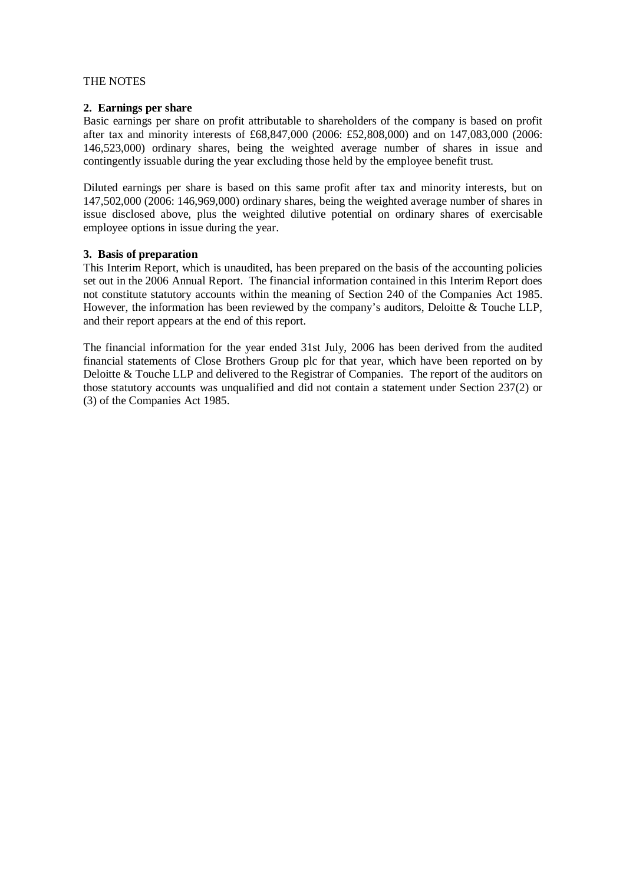# THE NOTES

# **2. Earnings per share**

Basic earnings per share on profit attributable to shareholders of the company is based on profit after tax and minority interests of £68,847,000 (2006: £52,808,000) and on 147,083,000 (2006: 146,523,000) ordinary shares, being the weighted average number of shares in issue and contingently issuable during the year excluding those held by the employee benefit trust.

Diluted earnings per share is based on this same profit after tax and minority interests, but on 147,502,000 (2006: 146,969,000) ordinary shares, being the weighted average number of shares in issue disclosed above, plus the weighted dilutive potential on ordinary shares of exercisable employee options in issue during the year.

# **3. Basis of preparation**

This Interim Report, which is unaudited, has been prepared on the basis of the accounting policies set out in the 2006 Annual Report. The financial information contained in this Interim Report does not constitute statutory accounts within the meaning of Section 240 of the Companies Act 1985. However, the information has been reviewed by the company's auditors, Deloitte & Touche LLP, and their report appears at the end of this report.

The financial information for the year ended 31st July, 2006 has been derived from the audited financial statements of Close Brothers Group plc for that year, which have been reported on by Deloitte & Touche LLP and delivered to the Registrar of Companies. The report of the auditors on those statutory accounts was unqualified and did not contain a statement under Section 237(2) or (3) of the Companies Act 1985.